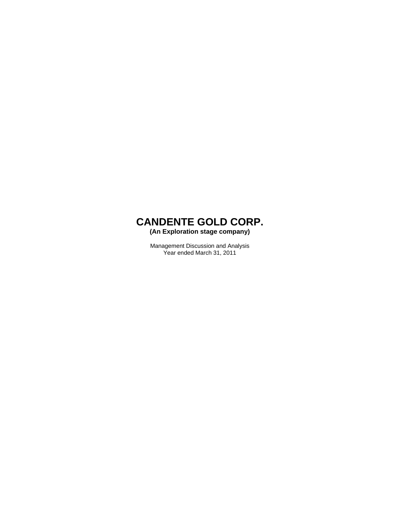**(An Exploration stage company)** 

Management Discussion and Analysis Year ended March 31, 2011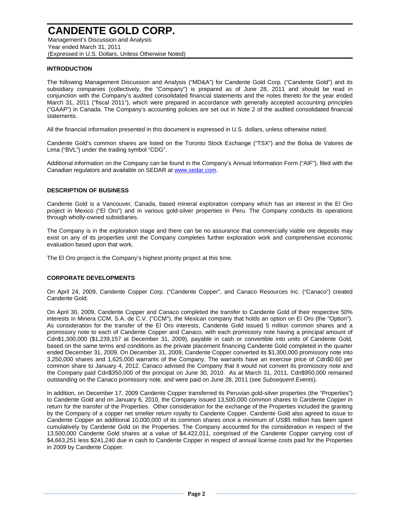Management's Discussion and Analysis Year ended March 31, 2011 (Expressed in U.S. Dollars, Unless Otherwise Noted)

#### **INTRODUCTION**

The following Management Discussion and Analysis ("MD&A") for Candente Gold Corp. ("Candente Gold") and its subsidiary companies (collectively, the "Company") is prepared as of June 28, 2011 and should be read in conjunction with the Company's audited consolidated financial statements and the notes thereto for the year ended March 31, 2011 ("fiscal 2011"), which were prepared in accordance with generally accepted accounting principles ("GAAP") in Canada. The Company's accounting policies are set out in Note 2 of the audited consolidated financial statements.

All the financial information presented in this document is expressed in U.S. dollars, unless otherwise noted.

Candente Gold's common shares are listed on the Toronto Stock Exchange ("TSX") and the Bolsa de Valores de Lima ("BVL") under the trading symbol "CDG".

Additional information on the Company can be found in the Company's Annual Information Form ("AIF"), filed with the Canadian regulators and available on SEDAR at www.sedar.com.

#### **DESCRIPTION OF BUSINESS**

Candente Gold is a Vancouver, Canada, based mineral exploration company which has an interest in the El Oro project in Mexico ("El Oro") and in various gold-silver properties in Peru. The Company conducts its operations through wholly-owned subsidiaries.

The Company is in the exploration stage and there can be no assurance that commercially viable ore deposits may exist on any of its properties until the Company completes further exploration work and comprehensive economic evaluation based upon that work.

The El Oro project is the Company's highest priority project at this time.

#### **CORPORATE DEVELOPMENTS**

On April 24, 2009, Candente Copper Corp. ("Candente Copper", and Canaco Resources Inc. ("Canaco") created Candente Gold.

On April 30, 2009, Candente Copper and Canaco completed the transfer to Candente Gold of their respective 50% interests in Minera CCM, S.A. de C.V. ("CCM"), the Mexican company that holds an option on El Oro (the "Option"). As consideration for the transfer of the El Oro interests, Candente Gold issued 5 million common shares and a promissory note to each of Candente Copper and Canaco, with each promissory note having a principal amount of Cdn\$1,300,000 (\$1,239,157 at December 31, 2009), payable in cash or convertible into units of Candente Gold, based on the same terms and conditions as the private placement financing Candente Gold completed in the quarter ended December 31, 2009. On December 31, 2009, Candente Copper converted its \$1,300,000 promissory note into 3,250,000 shares and 1,625,000 warrants of the Company. The warrants have an exercise price of Cdn\$0.60 per common share to January 4, 2012. Canaco advised the Company that it would not convert its promissory note and the Company paid Cdn\$350,000 of the principal on June 30, 2010. As at March 31, 2011, Cdn\$950,000 remained outstanding on the Canaco promissory note, and were paid on June 28, 2011 (see *Subsequent Events*).

In addition, on December 17, 2009 Candente Copper transferred its Peruvian gold-silver properties (the "Properties") to Candente Gold and on January 6, 2010, the Company issued 13,500,000 common shares to Candente Copper in return for the transfer of the Properties. Other consideration for the exchange of the Properties included the granting by the Company of a copper net smelter return royalty to Candente Copper. Candente Gold also agreed to issue to Candente Copper an additional 10,000,000 of its common shares once a minimum of US\$5 million has been spent cumulatively by Candente Gold on the Properties. The Company accounted for the consideration in respect of the 13,500,000 Candente Gold shares at a value of \$4,422,011, comprised of the Candente Copper carrying cost of \$4,663,251 less \$241,240 due in cash to Candente Copper in respect of annual license costs paid for the Properties in 2009 by Candente Copper.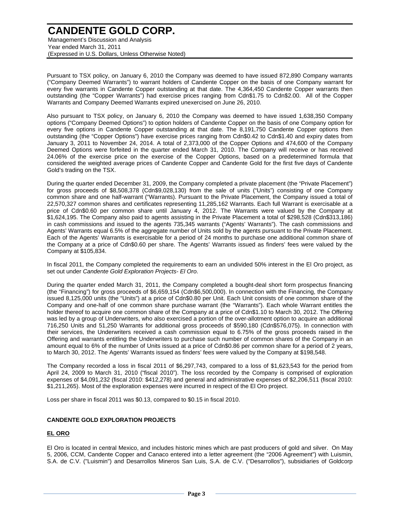Management's Discussion and Analysis Year ended March 31, 2011 (Expressed in U.S. Dollars, Unless Otherwise Noted)

Pursuant to TSX policy, on January 6, 2010 the Company was deemed to have issued 872,890 Company warrants ("Company Deemed Warrants") to warrant holders of Candente Copper on the basis of one Company warrant for every five warrants in Candente Copper outstanding at that date. The 4,364,450 Candente Copper warrants then outstanding (the "Copper Warrants") had exercise prices ranging from Cdn\$1.75 to Cdn\$2.00. All of the Copper Warrants and Company Deemed Warrants expired unexercised on June 26, 2010.

Also pursuant to TSX policy, on January 6, 2010 the Company was deemed to have issued 1,638,350 Company options ("Company Deemed Options") to option holders of Candente Copper on the basis of one Company option for every five options in Candente Copper outstanding at that date. The 8,191,750 Candente Copper options then outstanding (the "Copper Options") have exercise prices ranging from Cdn\$0.42 to Cdn\$1.40 and expiry dates from January 3, 2011 to November 24, 2014. A total of 2,373,000 of the Copper Options and 474,600 of the Company Deemed Options were forfeited in the quarter ended March 31, 2010. The Company will receive or has received 24.06% of the exercise price on the exercise of the Copper Options, based on a predetermined formula that considered the weighted average prices of Candente Copper and Candente Gold for the first five days of Candente Gold's trading on the TSX.

During the quarter ended December 31, 2009, the Company completed a private placement (the "Private Placement") for gross proceeds of \$8,508,378 (Cdn\$9,028,130) from the sale of units ("Units") consisting of one Company common share and one half-warrant ("Warrants). Pursuant to the Private Placement, the Company issued a total of 22,570,327 common shares and certificates representing 11,285,162 Warrants. Each full Warrant is exercisable at a price of Cdn\$0.60 per common share until January 4, 2012. The Warrants were valued by the Company at \$1,624,195. The Company also paid to agents assisting in the Private Placement a total of \$298,528 (Cdn\$313,186) in cash commissions and issued to the agents 735,345 warrants ("Agents' Warrants"). The cash commissions and Agents' Warrants equal 6.5% of the aggregate number of Units sold by the agents pursuant to the Private Placement. Each of the Agents' Warrants is exercisable for a period of 24 months to purchase one additional common share of the Company at a price of Cdn\$0.60 per share. The Agents' Warrants issued as finders' fees were valued by the Company at \$105,834.

In fiscal 2011, the Company completed the requirements to earn an undivided 50% interest in the El Oro project, as set out under *Candente Gold Exploration Projects- El Oro*.

During the quarter ended March 31, 2011, the Company completed a bought-deal short form prospectus financing (the "Financing") for gross proceeds of \$6,659,154 (Cdn\$6,500,000). In connection with the Financing, the Company issued 8,125,000 units (the "Units") at a price of Cdn\$0.80 per Unit. Each Unit consists of one common share of the Company and one-half of one common share purchase warrant (the "Warrants"). Each whole Warrant entitles the holder thereof to acquire one common share of the Company at a price of Cdn\$1.10 to March 30, 2012. The Offering was led by a group of Underwriters, who also exercised a portion of the over-allotment option to acquire an additional 716,250 Units and 51,250 Warrants for additional gross proceeds of \$590,180 (Cdn\$576,075). In connection with their services, the Underwriters received a cash commission equal to 6.75% of the gross proceeds raised in the Offering and warrants entitling the Underwriters to purchase such number of common shares of the Company in an amount equal to 6% of the number of Units issued at a price of Cdn\$0.86 per common share for a period of 2 years, to March 30, 2012. The Agents' Warrants issued as finders' fees were valued by the Company at \$198,548.

The Company recorded a loss in fiscal 2011 of \$6,297,743, compared to a loss of \$1,623,543 for the period from April 24, 2009 to March 31, 2010 ("fiscal 2010"). The loss recorded by the Company is comprised of exploration expenses of \$4,091,232 (fiscal 2010: \$412,278) and general and administrative expenses of \$2,206,511 (fiscal 2010: \$1,211,265). Most of the exploration expenses were incurred in respect of the El Oro project.

Loss per share in fiscal 2011 was \$0.13, compared to \$0.15 in fiscal 2010.

#### **CANDENTE GOLD EXPLORATION PROJECTS**

#### **EL ORO**

El Oro is located in central Mexico, and includes historic mines which are past producers of gold and silver. On May 5, 2006, CCM, Candente Copper and Canaco entered into a letter agreement (the "2006 Agreement") with Luismin, S.A. de C.V. ("Luismin") and Desarrollos Mineros San Luis, S.A. de C.V. ("Desarrollos"), subsidiaries of Goldcorp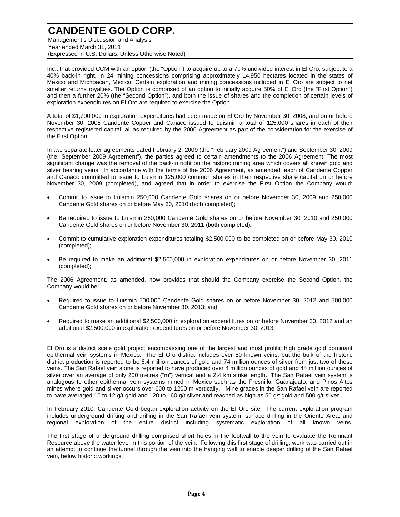Management's Discussion and Analysis Year ended March 31, 2011 (Expressed in U.S. Dollars, Unless Otherwise Noted)

Inc., that provided CCM with an option (the "Option") to acquire up to a 70% undivided interest in El Oro, subject to a 40% back-in right, in 24 mining concessions comprising approximately 14,950 hectares located in the states of Mexico and Michoacan, Mexico. Certain exploration and mining concessions included in El Oro are subject to net smelter returns royalties. The Option is comprised of an option to initially acquire 50% of El Oro (the "First Option") and then a further 20% (the "Second Option"), and both the issue of shares and the completion of certain levels of exploration expenditures on El Oro are required to exercise the Option.

A total of \$1,700,000 in exploration expenditures had been made on El Oro by November 30, 2008, and on or before November 30, 2008 Candente Copper and Canaco issued to Luismin a total of 125,000 shares in each of their respective registered capital, all as required by the 2006 Agreement as part of the consideration for the exercise of the First Option.

In two separate letter agreements dated February 2, 2009 (the "February 2009 Agreement") and September 30, 2009 (the "September 2009 Agreement"), the parties agreed to certain amendments to the 2006 Agreement. The most significant change was the removal of the back-in right on the historic mining area which covers all known gold and silver bearing veins. In accordance with the terms of the 2006 Agreement, as amended, each of Candente Copper and Canaco committed to issue to Luismin 125,000 common shares in their respective share capital on or before November 30, 2009 (completed), and agreed that in order to exercise the First Option the Company would:

- Commit to issue to Luismin 250,000 Candente Gold shares on or before November 30, 2009 and 250,000 Candente Gold shares on or before May 30, 2010 (both completed);
- Be required to issue to Luismin 250,000 Candente Gold shares on or before November 30, 2010 and 250,000 Candente Gold shares on or before November 30, 2011 (both completed);
- Commit to cumulative exploration expenditures totaling \$2,500,000 to be completed on or before May 30, 2010 (completed);
- Be required to make an additional \$2,500,000 in exploration expenditures on or before November 30, 2011 (completed);

The 2006 Agreement, as amended, now provides that should the Company exercise the Second Option, the Company would be:

- Required to issue to Luismin 500,000 Candente Gold shares on or before November 30, 2012 and 500,000 Candente Gold shares on or before November 30, 2013; and
- Required to make an additional \$2,500,000 in exploration expenditures on or before November 30, 2012 and an additional \$2,500,000 in exploration expenditures on or before November 30, 2013.

El Oro is a district scale gold project encompassing one of the largest and most prolific high grade gold dominant epithermal vein systems in Mexico. The El Oro district includes over 50 known veins, but the bulk of the historic district production is reported to be 6.4 million ounces of gold and 74 million ounces of silver from just two of these veins. The San Rafael vein alone is reported to have produced over 4 million ounces of gold and 44 million ounces of silver over an average of only 200 metres ("m") vertical and a 2.4 km strike length. The San Rafael vein system is analogous to other epithermal vein systems mined in Mexico such as the Fresnillo, Guanajuato, and Pinos Altos mines where gold and silver occurs over 600 to 1200 m vertically. Mine grades in the San Rafael vein are reported to have averaged 10 to 12 g/t gold and 120 to 160 g/t silver and reached as high as 50 g/t gold and 500 g/t silver.

In February 2010, Candente Gold began exploration activity on the El Oro site. The current exploration program includes underground drifting and drilling in the San Rafael vein system, surface drilling in the Oriente Area, and regional exploration of the entire district including systematic exploration of all known veins.

The first stage of underground drilling comprised short holes in the footwall to the vein to evaluate the Remnant Resource above the water level in this portion of the vein. Following this first stage of drilling, work was carried out in an attempt to continue the tunnel through the vein into the hanging wall to enable deeper drilling of the San Rafael vein, below historic workings.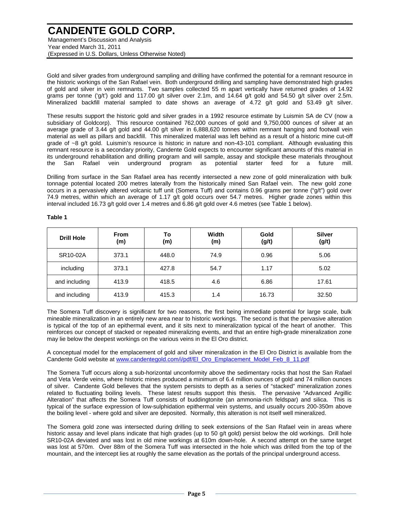Management's Discussion and Analysis Year ended March 31, 2011 (Expressed in U.S. Dollars, Unless Otherwise Noted)

Gold and silver grades from underground sampling and drilling have confirmed the potential for a remnant resource in the historic workings of the San Rafael vein. Both underground drilling and sampling have demonstrated high grades of gold and silver in vein remnants. Two samples collected 55 m apart vertically have returned grades of 14.92 grams per tonne ('g/t') gold and 117.00 g/t silver over 2.1m, and 14.64 g/t gold and 54.50 g/t silver over 2.5m. Mineralized backfill material sampled to date shows an average of 4.72 g/t gold and 53.49 g/t silver.

These results support the historic gold and silver grades in a 1992 resource estimate by Luismin SA de CV (now a subsidiary of Goldcorp). This resource contained 762,000 ounces of gold and 9,750,000 ounces of silver at an average grade of 3.44 g/t gold and 44.00 g/t silver in 6,888,620 tonnes within remnant hanging and footwall vein material as well as pillars and backfill. This mineralized material was left behind as a result of a historic mine cut-off grade of ~8 g/t gold. Luismin's resource is historic in nature and non-43-101 compliant. Although evaluating this remnant resource is a secondary priority, Candente Gold expects to encounter significant amounts of this material in its underground rehabilitation and drilling program and will sample, assay and stockpile these materials throughout the San Rafael vein underground program as potential starter feed for a future mill.

Drilling from surface in the San Rafael area has recently intersected a new zone of gold mineralization with bulk tonnage potential located 200 metres laterally from the historically mined San Rafael vein. The new gold zone occurs in a pervasively altered volcanic tuff unit (Somera Tuff) and contains 0.96 grams per tonne ("g/t") gold over 74.9 metres, within which an average of 1.17 g/t gold occurs over 54.7 metres. Higher grade zones within this interval included 16.73 g/t gold over 1.4 metres and 6.86 g/t gold over 4.6 metres (see Table 1 below).

| <b>Drill Hole</b> | <b>From</b><br>(m) | To<br>(m) | Width<br>(m) | Gold<br>(g/t) | <b>Silver</b><br>(g/t) |
|-------------------|--------------------|-----------|--------------|---------------|------------------------|
| SR10-02A          | 373.1              | 448.0     | 74.9         | 0.96          | 5.06                   |
| including         | 373.1              | 427.8     | 54.7         | 1.17          | 5.02                   |
| and including     | 413.9              | 418.5     | 4.6          | 6.86          | 17.61                  |
| and including     | 413.9              | 415.3     | 1.4          | 16.73         | 32.50                  |

#### **Table 1**

The Somera Tuff discovery is significant for two reasons, the first being immediate potential for large scale, bulk mineable mineralization in an entirely new area near to historic workings. The second is that the pervasive alteration is typical of the top of an epithermal event, and it sits next to mineralization typical of the heart of another. This reinforces our concept of stacked or repeated mineralizing events, and that an entire high-grade mineralization zone may lie below the deepest workings on the various veins in the El Oro district.

A conceptual model for the emplacement of gold and silver mineralization in the El Oro District is available from the Candente Gold website at www.candentegold.com/i/pdf/El\_Oro\_Emplacement\_Model\_Feb\_8\_11.pdf

The Somera Tuff occurs along a sub-horizontal unconformity above the sedimentary rocks that host the San Rafael and Veta Verde veins, where historic mines produced a minimum of 6.4 million ounces of gold and 74 million ounces of silver. Candente Gold believes that the system persists to depth as a series of "stacked" mineralization zones related to fluctuating boiling levels. These latest results support this thesis. The pervasive "Advanced Argillic Alteration" that affects the Somera Tuff consists of buddingtonite (an ammonia-rich feldspar) and silica. This is typical of the surface expression of low-sulphidation epithermal vein systems, and usually occurs 200-350m above the boiling level - where gold and silver are deposited. Normally, this alteration is not itself well mineralized.

The Somera gold zone was intersected during drilling to seek extensions of the San Rafael vein in areas where historic assay and level plans indicate that high grades (up to 50 g/t gold) persist below the old workings. Drill hole SR10-02A deviated and was lost in old mine workings at 610m down-hole. A second attempt on the same target was lost at 570m. Over 88m of the Somera Tuff was intersected in the hole which was drilled from the top of the mountain, and the intercept lies at roughly the same elevation as the portals of the principal underground access.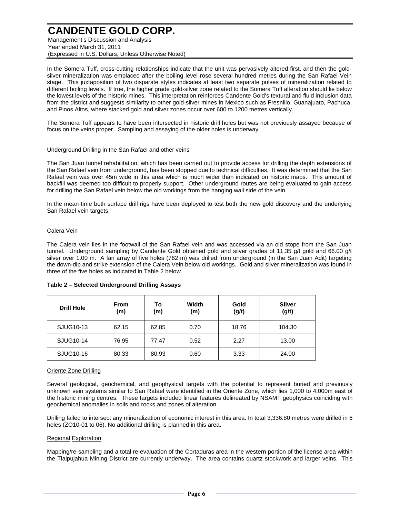Management's Discussion and Analysis Year ended March 31, 2011 (Expressed in U.S. Dollars, Unless Otherwise Noted)

In the Somera Tuff, cross-cutting relationships indicate that the unit was pervasively altered first, and then the goldsilver mineralization was emplaced after the boiling level rose several hundred metres during the San Rafael Vein stage. This juxtaposition of two disparate styles indicates at least two separate pulses of mineralization related to different boiling levels. If true, the higher grade gold-silver zone related to the Somera Tuff alteration should lie below the lowest levels of the historic mines. This interpretation reinforces Candente Gold's textural and fluid inclusion data from the district and suggests similarity to other gold-silver mines in Mexico such as Fresnillo, Guanajuato, Pachuca, and Pinos Altos, where stacked gold and silver zones occur over 600 to 1200 metres vertically.

The Somera Tuff appears to have been intersected in historic drill holes but was not previously assayed because of focus on the veins proper. Sampling and assaying of the older holes is underway.

#### Underground Drilling in the San Rafael and other veins

The San Juan tunnel rehabilitation, which has been carried out to provide access for drilling the depth extensions of the San Rafael vein from underground, has been stopped due to technical difficulties. It was determined that the San Rafael vein was over 45m wide in this area which is much wider than indicated on historic maps. This amount of backfill was deemed too difficult to properly support. Other underground routes are being evaluated to gain access for drilling the San Rafael vein below the old workings from the hanging wall side of the vein.

In the mean time both surface drill rigs have been deployed to test both the new gold discovery and the underlying San Rafael vein targets.

#### Calera Vein

The Calera vein lies in the footwall of the San Rafael vein and was accessed via an old stope from the San Juan tunnel. Underground sampling by Candente Gold obtained gold and silver grades of 11.35 g/t gold and 66.00 g/t silver over 1.00 m. A fan array of five holes (762 m) was drilled from underground (in the San Juan Adit) targeting the down-dip and strike extension of the Calera Vein below old workings. Gold and silver mineralization was found in three of the five holes as indicated in Table 2 below.

| <b>Drill Hole</b> | <b>From</b><br>(m) | То<br>(m) | Width<br>(m) | Gold<br>(g/t) | <b>Silver</b><br>(g/t) |
|-------------------|--------------------|-----------|--------------|---------------|------------------------|
| SJUG10-13         | 62.15              | 62.85     | 0.70         | 18.76         | 104.30                 |
| SJUG10-14         | 76.95              | 77.47     | 0.52         | 2.27          | 13.00                  |
| SJUG10-16         | 80.33              | 80.93     | 0.60         | 3.33          | 24.00                  |

#### **Table 2 – Selected Underground Drilling Assays**

#### Oriente Zone Drilling

Several geological, geochemical, and geophysical targets with the potential to represent buried and previously unknown vein systems similar to San Rafael were identified in the Oriente Zone, which lies 1,000 to 4,000m east of the historic mining centres. These targets included linear features delineated by NSAMT geophysics coinciding with geochemical anomalies in soils and rocks and zones of alteration.

Drilling failed to intersect any mineralization of economic interest in this area. In total 3,336.80 metres were drilled in 6 holes (ZO10-01 to 06). No additional drilling is planned in this area.

#### Regional Exploration

Mapping/re-sampling and a total re-evaluation of the Cortaduras area in the western portion of the license area within the Tlalpujahua Mining District are currently underway. The area contains quartz stockwork and larger veins. This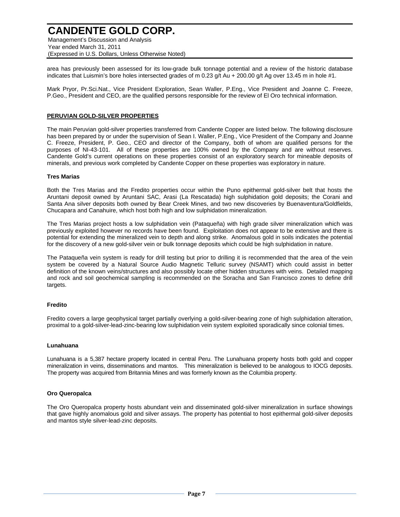Management's Discussion and Analysis Year ended March 31, 2011 (Expressed in U.S. Dollars, Unless Otherwise Noted)

area has previously been assessed for its low-grade bulk tonnage potential and a review of the historic database indicates that Luismin's bore holes intersected grades of m 0.23 g/t Au + 200.00 g/t Ag over 13.45 m in hole #1.

Mark Pryor, Pr.Sci.Nat., Vice President Exploration, Sean Waller, P.Eng., Vice President and Joanne C. Freeze, P.Geo., President and CEO, are the qualified persons responsible for the review of El Oro technical information.

#### **PERUVIAN GOLD-SILVER PROPERTIES**

The main Peruvian gold-silver properties transferred from Candente Copper are listed below. The following disclosure has been prepared by or under the supervision of Sean I. Waller, P.Eng., Vice President of the Company and Joanne C. Freeze, President, P. Geo., CEO and director of the Company, both of whom are qualified persons for the purposes of NI-43-101. All of these properties are 100% owned by the Company and are without reserves. Candente Gold's current operations on these properties consist of an exploratory search for mineable deposits of minerals, and previous work completed by Candente Copper on these properties was exploratory in nature.

#### **Tres Marias**

Both the Tres Marias and the Fredito properties occur within the Puno epithermal gold-silver belt that hosts the Aruntani deposit owned by Aruntani SAC, Arasi (La Rescatada) high sulphidation gold deposits; the Corani and Santa Ana silver deposits both owned by Bear Creek Mines, and two new discoveries by Buenaventura/Goldfields, Chucapara and Canahuire, which host both high and low sulphidation mineralization.

The Tres Marias project hosts a low sulphidation vein (Pataqueña) with high grade silver mineralization which was previously exploited however no records have been found. Exploitation does not appear to be extensive and there is potential for extending the mineralized vein to depth and along strike. Anomalous gold in soils indicates the potential for the discovery of a new gold-silver vein or bulk tonnage deposits which could be high sulphidation in nature.

The Pataqueña vein system is ready for drill testing but prior to drilling it is recommended that the area of the vein system be covered by a Natural Source Audio Magnetic Telluric survey (NSAMT) which could assist in better definition of the known veins/structures and also possibly locate other hidden structures with veins. Detailed mapping and rock and soil geochemical sampling is recommended on the Soracha and San Francisco zones to define drill targets.

#### **Fredito**

Fredito covers a large geophysical target partially overlying a gold-silver-bearing zone of high sulphidation alteration, proximal to a gold-silver-lead-zinc-bearing low sulphidation vein system exploited sporadically since colonial times.

#### **Lunahuana**

Lunahuana is a 5,387 hectare property located in central Peru. The Lunahuana property hosts both gold and copper mineralization in veins, disseminations and mantos. This mineralization is believed to be analogous to IOCG deposits. The property was acquired from Britannia Mines and was formerly known as the Columbia property.

#### **Oro Queropalca**

The Oro Queropalca property hosts abundant vein and disseminated gold-silver mineralization in surface showings that gave highly anomalous gold and silver assays. The property has potential to host epithermal gold-silver deposits and mantos style silver-lead-zinc deposits.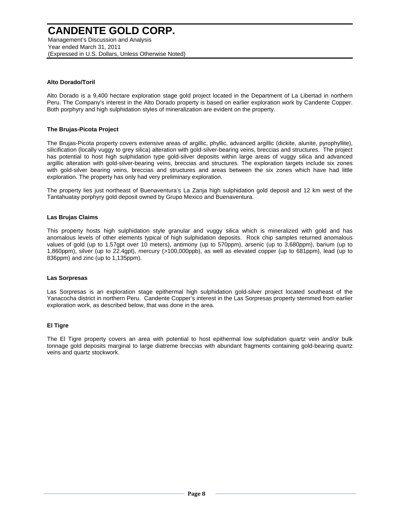Year ended March 31, 2011 (Expressed in U.S. Dollars, Unless Otherwise Noted)

#### **Alto Dorado/Toril**

Alto Dorado is a 9,400 hectare exploration stage gold project located in the Department of La Libertad in northern Peru. The Company's interest in the Alto Dorado property is based on earlier exploration work by Candente Copper. Both porphyry and high sulphidation styles of mineralization are evident on the property.

#### **The Brujas-Picota Project**

The Brujas-Picota property covers extensive areas of argillic, phyllic, advanced argillic (dickite, alunite, pyrophyllite), silicification (locally vuggy to grey silica) alteration with gold-silver-bearing veins, breccias and structures. The project has potential to host high sulphidation type gold-silver deposits within large areas of vuggy silica and advanced argillic alteration with gold-silver-bearing veins, breccias and structures. The exploration targets include six zones with gold-silver bearing veins, breccias and structures and areas between the six zones which have had little exploration. The property has only had very preliminary exploration.

The property lies just northeast of Buenaventura's La Zanja high sulphidation gold deposit and 12 km west of the Tantahuatay porphyry gold deposit owned by Grupo Mexico and Buenaventura.

#### **Las Brujas Claims**

This property hosts high sulphidation style granular and vuggy silica which is mineralized with gold and has anomalous levels of other elements typical of high sulphidation deposits. Rock chip samples returned anomalous values of gold (up to 1.57gpt over 10 meters), antimony (up to 570ppm), arsenic (up to 3,680ppm), barium (up to 1,860ppm), silver (up to 22.4gpt), mercury (>100,000ppb), as well as elevated copper (up to 681ppm), lead (up to 836ppm) and zinc (up to 1,135ppm).

#### **Las Sorpresas**

Las Sorpresas is an exploration stage epithermal high sulphidation gold-silver project located southeast of the Yanacocha district in northern Peru. Candente Copper's interest in the Las Sorpresas property stemmed from earlier exploration work, as described below, that was done in the area.

#### **El Tigre**

The El Tigre property covers an area with potential to host epithermal low sulphidation quartz vein and/or bulk tonnage gold deposits marginal to large diatreme breccias with abundant fragments containing gold-bearing quartz veins and quartz stockwork.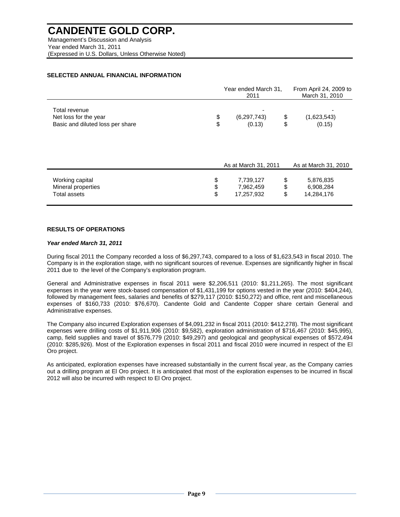Management's Discussion and Analysis Year ended March 31, 2011 (Expressed in U.S. Dollars, Unless Otherwise Noted)

#### **SELECTED ANNUAL FINANCIAL INFORMATION**

|                                                                            | Year ended March 31,<br>2011 |                                      |                | From April 24, 2009 to<br>March 31, 2010 |  |  |
|----------------------------------------------------------------------------|------------------------------|--------------------------------------|----------------|------------------------------------------|--|--|
| Total revenue<br>Net loss for the year<br>Basic and diluted loss per share | \$<br>\$                     | (6, 297, 743)<br>(0.13)              | \$<br>\$       | (1,623,543)<br>(0.15)                    |  |  |
|                                                                            |                              | As at March 31, 2011                 |                | As at March 31, 2010                     |  |  |
| Working capital<br>Mineral properties<br><b>Total assets</b>               | \$<br>\$<br>\$               | 7,739,127<br>7,962,459<br>17,257,932 | \$<br>\$<br>\$ | 5,876,835<br>6,908,284<br>14,284,176     |  |  |

#### **RESULTS OF OPERATIONS**

#### *Year ended March 31, 2011*

During fiscal 2011 the Company recorded a loss of \$6,297,743, compared to a loss of \$1,623,543 in fiscal 2010. The Company is in the exploration stage, with no significant sources of revenue. Expenses are significantly higher in fiscal 2011 due to the level of the Company's exploration program.

General and Administrative expenses in fiscal 2011 were \$2,206,511 (2010: \$1,211,265). The most significant expenses in the year were stock-based compensation of \$1,431,199 for options vested in the year (2010: \$404,244), followed by management fees, salaries and benefits of \$279,117 (2010: \$150,272) and office, rent and miscellaneous expenses of \$160,733 (2010: \$76,670). Candente Gold and Candente Copper share certain General and Administrative expenses.

The Company also incurred Exploration expenses of \$4,091,232 in fiscal 2011 (2010: \$412,278). The most significant expenses were drilling costs of \$1,911,906 (2010: \$9,582), exploration administration of \$716,467 (2010: \$45,995), camp, field supplies and travel of \$576,779 (2010: \$49,297) and geological and geophysical expenses of \$572,494 (2010: \$285,926). Most of the Exploration expenses in fiscal 2011 and fiscal 2010 were incurred in respect of the El Oro project.

As anticipated, exploration expenses have increased substantially in the current fiscal year, as the Company carries out a drilling program at El Oro project. It is anticipated that most of the exploration expenses to be incurred in fiscal 2012 will also be incurred with respect to El Oro project.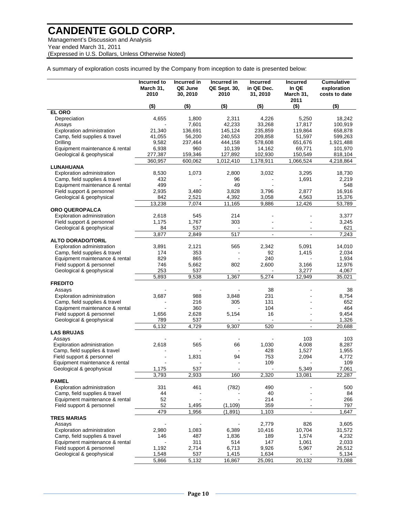Management's Discussion and Analysis Year ended March 31, 2011 (Expressed in U.S. Dollars, Unless Otherwise Noted)

A summary of exploration costs incurred by the Company from inception to date is presented below:

|                                                                 | Incurred to<br>March 31.<br>2010 | Incurred in<br>QE June<br>30, 2010 | Incurred in<br><b>QE Sept. 30,</b><br>2010 | <b>Incurred</b><br>in QE Dec.<br>31, 2010 | <b>Incurred</b><br>In QE<br>March 31,<br>2011 | Cumulative<br>exploration<br>costs to date |
|-----------------------------------------------------------------|----------------------------------|------------------------------------|--------------------------------------------|-------------------------------------------|-----------------------------------------------|--------------------------------------------|
|                                                                 | (\$)                             | $($ \$)                            | $($ \$)                                    | (\$)                                      | $($ \$)                                       | $($ \$)                                    |
| <b>EL ORO</b><br>Depreciation                                   | 4,655                            | 1,800                              | 2,311                                      | 4,226                                     | 5.250                                         | 18,242                                     |
| Assays                                                          |                                  | 7,601                              | 42,233                                     | 33,268                                    | 17,817                                        | 100,919                                    |
| Exploration administration                                      | 21,340                           | 136,691                            | 145,124                                    | 235,859                                   | 119,864                                       | 658,878                                    |
| Camp, field supplies & travel<br>Drilling                       | 41,055<br>9,582                  | 56,200                             | 240,553                                    | 209,858                                   | 51,597<br>651,676                             | 599,263                                    |
| Equipment maintenance & rental                                  | 6,938                            | 237,464<br>960                     | 444,158<br>10,139                          | 578,608<br>14,162                         | 69,771                                        | 1,921,488<br>101,970                       |
| Geological & geophysical                                        | 277,387                          | 159,346                            | 127,892                                    | 102,930                                   | 150,549                                       | 818,104                                    |
|                                                                 | 360,957                          | 600,062                            | 1,012,410                                  | 1,178,911                                 | 1,066,524                                     | 4,218,864                                  |
| LUNAHUANA                                                       |                                  |                                    |                                            |                                           |                                               |                                            |
| Exploration administration                                      | 8,530                            | 1,073                              | 2,800                                      | 3,032                                     | 3,295                                         | 18,730                                     |
| Camp, field supplies & travel                                   | 432                              |                                    | 96                                         |                                           | 1,691                                         | 2,219                                      |
| Equipment maintenance & rental                                  | 499                              |                                    | 49                                         |                                           |                                               | 548                                        |
| Field support & personnel                                       | 2,935                            | 3,480                              | 3,828                                      | 3,796                                     | 2,877                                         | 16,916                                     |
| Geological & geophysical                                        | 842                              | 2,521                              | 4,392                                      | 3,058                                     | 4,563                                         | 15,376                                     |
|                                                                 | 13,238                           | 7,074                              | 11,165                                     | 9,886                                     | 12,426                                        | 53,789                                     |
| <b>ORO QUEROPALCA</b>                                           |                                  |                                    |                                            |                                           |                                               |                                            |
| <b>Exploration administration</b>                               | 2,618                            | 545                                | 214                                        |                                           |                                               | 3,377                                      |
| Field support & personnel                                       | 1,175<br>84                      | 1,767<br>537                       | 303<br>$\blacksquare$                      | $\blacksquare$                            | $\blacksquare$                                | 3,245<br>621                               |
| Geological & geophysical                                        | 3,877                            | 2.849                              | 517                                        | $\blacksquare$                            | $\overline{a}$                                | 7,243                                      |
| <b>ALTO DORADO/TORIL</b>                                        |                                  |                                    |                                            |                                           |                                               |                                            |
| Exploration administration                                      | 3,891                            | 2,121                              | 565                                        | 2,342                                     | 5,091                                         | 14,010                                     |
| Camp, field supplies & travel                                   | 174                              | 353                                |                                            | 92                                        | 1,415                                         | 2,034                                      |
| Equipment maintenance & rental                                  | 829                              | 865                                |                                            | 240                                       |                                               | 1,934                                      |
| Field support & personnel                                       | 746                              | 5,662                              | 802                                        | 2,600                                     | 3,166                                         | 12,976                                     |
| Geological & geophysical                                        | 253                              | 537                                |                                            |                                           | 3,277                                         | 4,067                                      |
|                                                                 | 5,893                            | 9,538                              | 1,367                                      | 5,274                                     | 12,949                                        | 35,021                                     |
| <b>FREDITO</b>                                                  |                                  |                                    |                                            |                                           |                                               |                                            |
| Assays                                                          |                                  |                                    |                                            | 38                                        |                                               | 38                                         |
| Exploration administration                                      | 3,687                            | 988<br>216                         | 3,848<br>305                               | 231<br>131                                |                                               | 8,754<br>652                               |
| Camp, field supplies & travel<br>Equipment maintenance & rental |                                  | 360                                |                                            | 104                                       |                                               | 464                                        |
| Field support & personnel                                       | 1,656                            | 2,628                              | 5,154                                      | 16                                        |                                               | 9,454                                      |
| Geological & geophysical                                        | 789                              | 537                                |                                            | $\blacksquare$                            |                                               | 1,326                                      |
|                                                                 | 6,132                            | 4,729                              | 9,307                                      | 520                                       | $\blacksquare$                                | 20,688                                     |
| <b>LAS BRUJAS</b>                                               |                                  |                                    |                                            |                                           |                                               |                                            |
| Assays                                                          |                                  |                                    |                                            |                                           | 103                                           | 103                                        |
| Exploration administration                                      | 2,618                            | 565                                | 66                                         | 1,030                                     | 4,008                                         | 8,287                                      |
| Camp, field supplies & travel                                   |                                  |                                    |                                            | 428                                       | 1,527                                         | 1,955                                      |
| Field support & personnel<br>Equipment maintenance & rental     |                                  | 1,831                              | 94                                         | 753                                       | 2,094                                         | 4,772                                      |
|                                                                 | 1.175                            | 537                                |                                            | 109                                       | 5.349                                         | 109<br>7.061                               |
| Geological & geophysical                                        | 3,793                            | 2,933                              | 160                                        | 2,320                                     | 13,081                                        | 22,287                                     |
| <b>PAMEL</b>                                                    |                                  |                                    |                                            |                                           |                                               |                                            |
| <b>Exploration administration</b>                               | 331                              | 461                                | (782)                                      | 490                                       |                                               | 500                                        |
| Camp, field supplies & travel                                   | 44                               |                                    |                                            | 40                                        |                                               | 84                                         |
| Equipment maintenance & rental                                  | 52                               |                                    |                                            | 214                                       |                                               | 266                                        |
| Field support & personnel                                       | 52                               | 1,495                              | (1, 109)                                   | 359                                       |                                               | 797                                        |
|                                                                 | 479                              | 1,956                              | (1,891)                                    | 1,103                                     | $\blacksquare$                                | 1,647                                      |
| <b>TRES MARIAS</b>                                              |                                  |                                    |                                            |                                           |                                               |                                            |
| Assays                                                          |                                  |                                    |                                            | 2,779                                     | 826                                           | 3,605                                      |
| <b>Exploration administration</b>                               | 2,980<br>146                     | 1,083<br>487                       | 6,389<br>1,836                             | 10,416<br>189                             | 10,704<br>1,574                               | 31,572<br>4,232                            |
| Camp, field supplies & travel<br>Equipment maintenance & rental |                                  | 311                                | 514                                        | 147                                       | 1,061                                         | 2,033                                      |
| Field support & personnel                                       | 1,192                            | 2,714                              | 6,713                                      | 9,926                                     | 5,967                                         | 26,512                                     |
| Geological & geophysical                                        | 1,548                            | 537                                | 1,415                                      | 1,634                                     |                                               | 5,134                                      |
|                                                                 | 5,866                            | 5,132                              | 16,867                                     | 25,091                                    | 20,132                                        | 73,088                                     |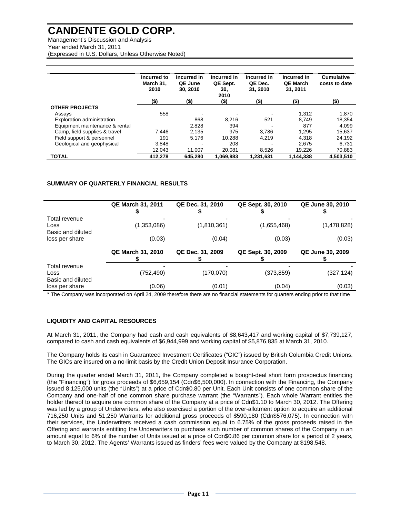Management's Discussion and Analysis Year ended March 31, 2011 (Expressed in U.S. Dollars, Unless Otherwise Noted)

|                                | Incurred to<br>March 31,<br>2010 | Incurred in<br>QE June<br>30, 2010 | Incurred in<br>QE Sept.<br>30,<br>2010 | Incurred in<br>QE Dec.<br>31, 2010 | Incurred in<br><b>QE March</b><br>31, 2011 | <b>Cumulative</b><br>costs to date |
|--------------------------------|----------------------------------|------------------------------------|----------------------------------------|------------------------------------|--------------------------------------------|------------------------------------|
|                                | (\$)                             | (\$)                               | $($ \$)                                | (\$)                               | $($ \$)                                    | $($ \$)                            |
| <b>OTHER PROJECTS</b>          |                                  |                                    |                                        |                                    |                                            |                                    |
| Assays                         | 558                              |                                    |                                        |                                    | 1.312                                      | 1,870                              |
| Exploration administration     |                                  | 868                                | 8.216                                  | 521                                | 8.749                                      | 18.354                             |
| Equipment maintenance & rental |                                  | 2,828                              | 394                                    |                                    | 877                                        | 4,099                              |
| Camp, field supplies & travel  | 7.446                            | 2.135                              | 975                                    | 3.786                              | 1.295                                      | 15.637                             |
| Field support & personnel      | 191                              | 5.176                              | 10.288                                 | 4.219                              | 4.318                                      | 24,192                             |
| Geological and geophysical     | 3.848                            |                                    | 208                                    |                                    | 2.675                                      | 6,731                              |
|                                | 12,043                           | 11.007                             | 20.081                                 | 8,526                              | 19.226                                     | 70,883                             |
| <b>TOTAL</b>                   | 412.278                          | 645.280                            | 1.069.983                              | 1.231.631                          | 1.144.338                                  | 4.503.510                          |

#### **SUMMARY OF QUARTERLY FINANCIAL RESULTS**

|                                            | <b>QE March 31, 2011</b> | QE Dec. 31, 2010 | QE Sept. 30, 2010 | <b>QE June 30, 2010</b> |
|--------------------------------------------|--------------------------|------------------|-------------------|-------------------------|
| Total revenue<br>Loss<br>Basic and diluted | (1,353,086)              | (1,810,361)      | (1,655,468)       | (1,478,828)             |
| loss per share                             | (0.03)                   | (0.04)           | (0.03)            | (0.03)                  |
|                                            | <b>QE March 31, 2010</b> | QE Dec. 31, 2009 | QE Sept. 30, 2009 | <b>QE June 30, 2009</b> |
| Total revenue<br>Loss<br>Basic and diluted | (752, 490)               | (170,070)        | (373,859)         | (327,124)               |
| loss per share                             | (0.06)                   | (0.01)           | (0.04)            | (0.03)                  |

\* The Company was incorporated on April 24, 2009 therefore there are no financial statements for quarters ending prior to that time

#### **LIQUIDITY AND CAPITAL RESOURCES**

At March 31, 2011, the Company had cash and cash equivalents of \$8,643,417 and working capital of \$7,739,127, compared to cash and cash equivalents of \$6,944,999 and working capital of \$5,876,835 at March 31, 2010.

The Company holds its cash in Guaranteed Investment Certificates ("GIC") issued by British Columbia Credit Unions. The GICs are insured on a no-limit basis by the Credit Union Deposit Insurance Corporation.

During the quarter ended March 31, 2011, the Company completed a bought-deal short form prospectus financing (the "Financing") for gross proceeds of \$6,659,154 (Cdn\$6,500,000). In connection with the Financing, the Company issued 8,125,000 units (the "Units") at a price of Cdn\$0.80 per Unit. Each Unit consists of one common share of the Company and one-half of one common share purchase warrant (the "Warrants"). Each whole Warrant entitles the holder thereof to acquire one common share of the Company at a price of Cdn\$1.10 to March 30, 2012. The Offering was led by a group of Underwriters, who also exercised a portion of the over-allotment option to acquire an additional 716,250 Units and 51,250 Warrants for additional gross proceeds of \$590,180 (Cdn\$576,075). In connection with their services, the Underwriters received a cash commission equal to 6.75% of the gross proceeds raised in the Offering and warrants entitling the Underwriters to purchase such number of common shares of the Company in an amount equal to 6% of the number of Units issued at a price of Cdn\$0.86 per common share for a period of 2 years, to March 30, 2012. The Agents' Warrants issued as finders' fees were valued by the Company at \$198,548.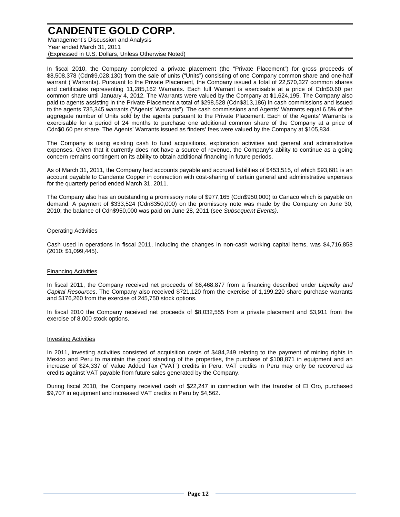Management's Discussion and Analysis Year ended March 31, 2011 (Expressed in U.S. Dollars, Unless Otherwise Noted)

In fiscal 2010, the Company completed a private placement (the "Private Placement") for gross proceeds of \$8,508,378 (Cdn\$9,028,130) from the sale of units ("Units") consisting of one Company common share and one-half warrant ("Warrants). Pursuant to the Private Placement, the Company issued a total of 22,570,327 common shares and certificates representing 11,285,162 Warrants. Each full Warrant is exercisable at a price of Cdn\$0.60 per common share until January 4, 2012. The Warrants were valued by the Company at \$1,624,195. The Company also paid to agents assisting in the Private Placement a total of \$298,528 (Cdn\$313,186) in cash commissions and issued to the agents 735,345 warrants ("Agents' Warrants"). The cash commissions and Agents' Warrants equal 6.5% of the aggregate number of Units sold by the agents pursuant to the Private Placement. Each of the Agents' Warrants is exercisable for a period of 24 months to purchase one additional common share of the Company at a price of Cdn\$0.60 per share. The Agents' Warrants issued as finders' fees were valued by the Company at \$105,834.

The Company is using existing cash to fund acquisitions, exploration activities and general and administrative expenses. Given that it currently does not have a source of revenue, the Company's ability to continue as a going concern remains contingent on its ability to obtain additional financing in future periods.

As of March 31, 2011, the Company had accounts payable and accrued liabilities of \$453,515, of which \$93,681 is an account payable to Candente Copper in connection with cost-sharing of certain general and administrative expenses for the quarterly period ended March 31, 2011.

The Company also has an outstanding a promissory note of \$977,165 (Cdn\$950,000) to Canaco which is payable on demand. A payment of \$333,524 (Cdn\$350,000) on the promissory note was made by the Company on June 30, 2010; the balance of Cdn\$950,000 was paid on June 28, 2011 (see *Subsequent Events)*.

#### Operating Activities

Cash used in operations in fiscal 2011, including the changes in non-cash working capital items, was \$4,716,858 (2010: \$1,099,445).

#### Financing Activities

In fiscal 2011, the Company received net proceeds of \$6,468,877 from a financing described under *Liquidity and Capital Resources*. The Company also received \$721,120 from the exercise of 1,199,220 share purchase warrants and \$176,260 from the exercise of 245,750 stock options.

In fiscal 2010 the Company received net proceeds of \$8,032,555 from a private placement and \$3,911 from the exercise of 8,000 stock options.

#### Investing Activities

In 2011, investing activities consisted of acquisition costs of \$484,249 relating to the payment of mining rights in Mexico and Peru to maintain the good standing of the properties, the purchase of \$108,871 in equipment and an increase of \$24,337 of Value Added Tax ("VAT") credits in Peru. VAT credits in Peru may only be recovered as credits against VAT payable from future sales generated by the Company.

During fiscal 2010, the Company received cash of \$22,247 in connection with the transfer of El Oro, purchased \$9,707 in equipment and increased VAT credits in Peru by \$4,562.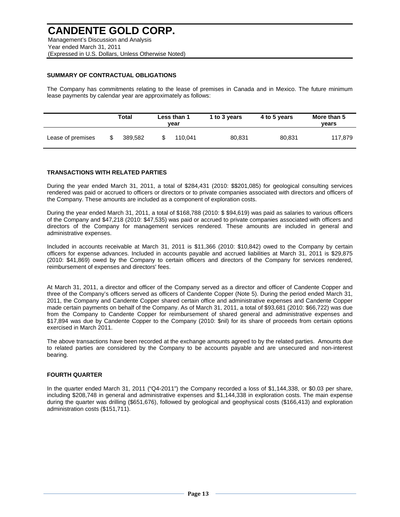#### **SUMMARY OF CONTRACTUAL OBLIGATIONS**

The Company has commitments relating to the lease of premises in Canada and in Mexico. The future minimum lease payments by calendar year are approximately as follows:

|                   | Total   | Less than 1<br>vear | 1 to 3 years | 4 to 5 years | More than 5<br>vears |
|-------------------|---------|---------------------|--------------|--------------|----------------------|
| Lease of premises | 389.582 | 110.041             | 80.831       | 80.831       | 117.879              |

#### **TRANSACTIONS WITH RELATED PARTIES**

During the year ended March 31, 2011, a total of \$284,431 (2010: \$\$201,085) for geological consulting services rendered was paid or accrued to officers or directors or to private companies associated with directors and officers of the Company. These amounts are included as a component of exploration costs.

During the year ended March 31, 2011, a total of \$168,788 (2010: \$ \$94,619) was paid as salaries to various officers of the Company and \$47,218 (2010: \$47,535) was paid or accrued to private companies associated with officers and directors of the Company for management services rendered. These amounts are included in general and administrative expenses.

Included in accounts receivable at March 31, 2011 is \$11,366 (2010: \$10,842) owed to the Company by certain officers for expense advances. Included in accounts payable and accrued liabilities at March 31, 2011 is \$29,875 (2010: \$41,869) owed by the Company to certain officers and directors of the Company for services rendered, reimbursement of expenses and directors' fees.

At March 31, 2011, a director and officer of the Company served as a director and officer of Candente Copper and three of the Company's officers served as officers of Candente Copper (Note 5). During the period ended March 31, 2011, the Company and Candente Copper shared certain office and administrative expenses and Candente Copper made certain payments on behalf of the Company. As of March 31, 2011, a total of \$93,681 (2010: \$66,722) was due from the Company to Candente Copper for reimbursement of shared general and administrative expenses and \$17,894 was due by Candente Copper to the Company (2010: \$nil) for its share of proceeds from certain options exercised in March 2011.

The above transactions have been recorded at the exchange amounts agreed to by the related parties. Amounts due to related parties are considered by the Company to be accounts payable and are unsecured and non-interest bearing.

#### **FOURTH QUARTER**

In the quarter ended March 31, 2011 ("Q4-2011") the Company recorded a loss of \$1,144,338, or \$0.03 per share, including \$208,748 in general and administrative expenses and \$1,144,338 in exploration costs. The main expense during the quarter was drilling (\$651,676), followed by geological and geophysical costs (\$166,413) and exploration administration costs (\$151,711).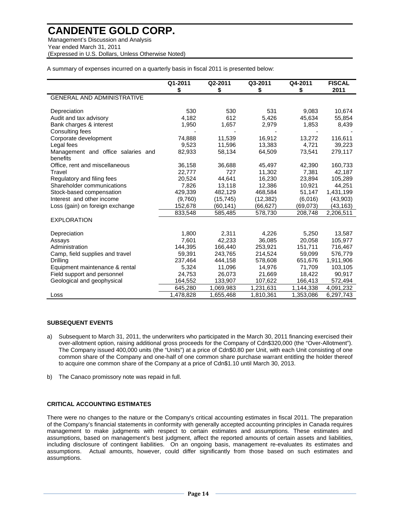Management's Discussion and Analysis Year ended March 31, 2011 (Expressed in U.S. Dollars, Unless Otherwise Noted)

A summary of expenses incurred on a quarterly basis in fiscal 2011 is presented below:

|                                    | Q1-2011   | Q2-2011   | Q3-2011   | Q4-2011   | <b>FISCAL</b> |
|------------------------------------|-----------|-----------|-----------|-----------|---------------|
|                                    | \$        | \$        | \$        | \$        | 2011          |
| <b>GENERAL AND ADMINISTRATIVE</b>  |           |           |           |           |               |
| Depreciation                       | 530       | 530       | 531       | 9,083     | 10,674        |
| Audit and tax advisory             | 4,182     | 612       | 5,426     | 45,634    | 55,854        |
| Bank charges & interest            | 1,950     | 1,657     | 2,979     | 1,853     | 8,439         |
| Consulting fees                    |           |           |           |           |               |
| Corporate development              | 74,888    | 11,539    | 16,912    | 13,272    | 116,611       |
| Legal fees                         | 9.523     | 11.596    | 13,383    | 4,721     | 39,223        |
| Management and office salaries and | 82,933    | 58,134    | 64,509    | 73,541    | 279,117       |
| benefits                           |           |           |           |           |               |
| Office, rent and miscellaneous     | 36,158    | 36,688    | 45,497    | 42,390    | 160,733       |
| Travel                             | 22,777    | 727       | 11,302    | 7,381     | 42,187        |
| Regulatory and filing fees         | 20,524    | 44.641    | 16,230    | 23.894    | 105,289       |
| Shareholder communications         | 7,826     | 13,118    | 12,386    | 10,921    | 44,251        |
| Stock-based compensation           | 429,339   | 482,129   | 468,584   | 51,147    | 1,431,199     |
| Interest and other income          | (9,760)   | (15, 745) | (12, 382) | (6,016)   | (43,903)      |
| Loss (gain) on foreign exchange    | 152,678   | (60,141)  | (66,627)  | (69,073)  | (43,163)      |
|                                    | 833,548   | 585,485   | 578,730   | 208,748   | 2,206,511     |
| <b>EXPLORATION</b>                 |           |           |           |           |               |
| Depreciation                       | 1,800     | 2,311     | 4,226     | 5,250     | 13,587        |
| Assays                             | 7,601     | 42,233    | 36,085    | 20,058    | 105,977       |
| Administration                     | 144,395   | 166,440   | 253,921   | 151,711   | 716,467       |
| Camp, field supplies and travel    | 59,391    | 243,765   | 214,524   | 59,099    | 576,779       |
| Drilling                           | 237,464   | 444,158   | 578,608   | 651,676   | 1,911,906     |
| Equipment maintenance & rental     | 5,324     | 11,096    | 14,976    | 71,709    | 103,105       |
| Field support and personnel        | 24,753    | 26,073    | 21,669    | 18,422    | 90,917        |
| Geological and geophysical         | 164,552   | 133,907   | 107,622   | 166,413   | 572,494       |
|                                    | 645,280   | 1,069,983 | 1,231,631 | 1,144,338 | 4,091,232     |
| Loss                               | 1,478,828 | 1,655,468 | 1,810,361 | 1,353,086 | 6,297,743     |

#### **SUBSEQUENT EVENTS**

- a) Subsequent to March 31, 2011, the underwriters who participated in the March 30, 2011 financing exercised their over-allotment option, raising additional gross proceeds for the Company of Cdn\$320,000 (the "Over-Allotment"). The Company issued 400,000 units (the "Units") at a price of Cdn\$0.80 per Unit, with each Unit consisting of one common share of the Company and one-half of one common share purchase warrant entitling the holder thereof to acquire one common share of the Company at a price of Cdn\$1.10 until March 30, 2013.
- b) The Canaco promissory note was repaid in full.

#### **CRITICAL ACCOUNTING ESTIMATES**

There were no changes to the nature or the Company's critical accounting estimates in fiscal 2011. The preparation of the Company's financial statements in conformity with generally accepted accounting principles in Canada requires management to make judgments with respect to certain estimates and assumptions. These estimates and assumptions, based on management's best judgment, affect the reported amounts of certain assets and liabilities, including disclosure of contingent liabilities. On an ongoing basis, management re-evaluates its estimates and assumptions. Actual amounts, however, could differ significantly from those based on such estimates and assumptions.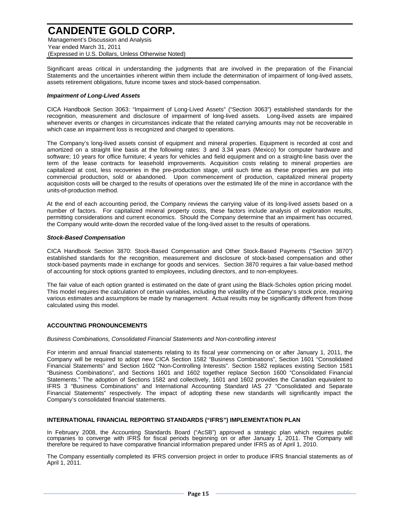Management's Discussion and Analysis Year ended March 31, 2011 (Expressed in U.S. Dollars, Unless Otherwise Noted)

Significant areas critical in understanding the judgments that are involved in the preparation of the Financial Statements and the uncertainties inherent within them include the determination of impairment of long-lived assets, assets retirement obligations, future income taxes and stock-based compensation.

#### *Impairment of Long-Lived Assets*

CICA Handbook Section 3063: "Impairment of Long-Lived Assets" ("Section 3063") established standards for the recognition, measurement and disclosure of impairment of long-lived assets. Long-lived assets are impaired whenever events or changes in circumstances indicate that the related carrying amounts may not be recoverable in which case an impairment loss is recognized and charged to operations.

The Company's long-lived assets consist of equipment and mineral properties. Equipment is recorded at cost and amortized on a straight line basis at the following rates: 3 and 3.34 years (Mexico) for computer hardware and software; 10 years for office furniture; 4 years for vehicles and field equipment and on a straight-line basis over the term of the lease contracts for leasehold improvements. Acquisition costs relating to mineral properties are capitalized at cost, less recoveries in the pre-production stage, until such time as these properties are put into commercial production, sold or abandoned. Upon commencement of production, capitalized mineral property acquisition costs will be charged to the results of operations over the estimated life of the mine in accordance with the units-of-production method.

At the end of each accounting period, the Company reviews the carrying value of its long-lived assets based on a number of factors. For capitalized mineral property costs, these factors include analysis of exploration results, permitting considerations and current economics. Should the Company determine that an impairment has occurred, the Company would write-down the recorded value of the long-lived asset to the results of operations.

#### *Stock-Based Compensation*

CICA Handbook Section 3870: Stock-Based Compensation and Other Stock-Based Payments ("Section 3870") established standards for the recognition, measurement and disclosure of stock-based compensation and other stock-based payments made in exchange for goods and services. Section 3870 requires a fair value-based method of accounting for stock options granted to employees, including directors, and to non-employees.

The fair value of each option granted is estimated on the date of grant using the Black-Scholes option pricing model. This model requires the calculation of certain variables, including the volatility of the Company's stock price, requiring various estimates and assumptions be made by management. Actual results may be significantly different from those calculated using this model.

#### **ACCOUNTING PRONOUNCEMENTS**

#### *Business Combinations, Consolidated Financial Statements and Non-controlling interest*

For interim and annual financial statements relating to its fiscal year commencing on or after January 1, 2011, the Company will be required to adopt new CICA Section 1582 "Business Combinations", Section 1601 "Consolidated Financial Statements" and Section 1602 "Non-Controlling Interests". Section 1582 replaces existing Section 1581 "Business Combinations", and Sections 1601 and 1602 together replace Section 1600 "Consolidated Financial Statements." The adoption of Sections 1582 and collectively, 1601 and 1602 provides the Canadian equivalent to IFRS 3 "Business Combinations" and International Accounting Standard IAS 27 "Consolidated and Separate Financial Statements" respectively. The impact of adopting these new standards will significantly impact the Company's consolidated financial statements.

#### **INTERNATIONAL FINANCIAL REPORTING STANDARDS ("IFRS") IMPLEMENTATION PLAN**

In February 2008, the Accounting Standards Board ("AcSB") approved a strategic plan which requires public companies to converge with IFRS for fiscal periods beginning on or after January 1, 2011. The Company will therefore be required to have comparative financial information prepared under IFRS as of April 1, 2010.

The Company essentially completed its IFRS conversion project in order to produce IFRS financial statements as of April 1, 2011.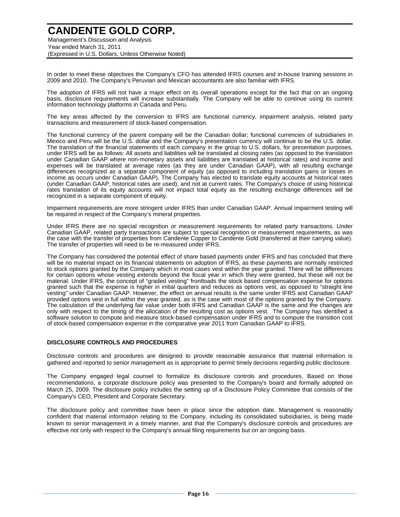Management's Discussion and Analysis Year ended March 31, 2011 (Expressed in U.S. Dollars, Unless Otherwise Noted)

In order to meet these objectives the Company's CFO has attended IFRS courses and in-house training sessions in 2009 and 2010. The Company's Peruvian and Mexican accountants are also familiar with IFRS.

The adoption of IFRS will not have a major effect on its overall operations except for the fact that on an ongoing basis, disclosure requirements will increase substantially. The Company will be able to continue using its current information technology platforms in Canada and Peru.

The key areas affected by the conversion to IFRS are functional currency, impairment analysis, related party transactions and measurement of stock-based compensation.

The functional currency of the parent company will be the Canadian dollar; functional currencies of subsidiaries in Mexico and Peru will be the U.S. dollar and the Company's presentation currency will continue to be the U.S. dollar. The translation of the financial statements of each company in the group to U.S. dollars, for presentation purposes, under IFRS will be as follows: All assets and liabilities will be translated at closing rates (as opposed to the translation under Canadian GAAP where non-monetary assets and liabilities are translated at historical rates) and income and expenses will be translated at average rates (as they are under Canadian GAAP), with all resulting exchange differences recognized as a separate component of equity (as opposed to including translation gains or losses in income as occurs under Canadian GAAP). The Company has elected to translate equity accounts at historical rates (under Canadian GAAP, historical rates are used), and not at current rates. The Company's choice of using historical rates translation of its equity accounts will not impact total equity as the resulting exchange differences will be recognized in a separate component of equity.

Impairment requirements are more stringent under IFRS than under Canadian GAAP. Annual impairment testing will be required in respect of the Company's mineral properties.

Under IFRS there are no special recognition or measurement requirements for related party transactions. Under Canadian GAAP, related party transactions are subject to special recognition or measurement requirements, as was the case with the transfer of properties from Candente Copper to Candente Gold (transferred at their carrying value). The transfer of properties will need to be re-measured under IFRS.

The Company has considered the potential effect of share based payments under IFRS and has concluded that there will be no material impact on its financial statements on adoption of IFRS, as these payments are normally restricted to stock options granted by the Company which in most cases vest within the year granted. There will be differences for certain options whose vesting extends beyond the fiscal year in which they were granted, but these will not be material. Under IFRS, the concept of "graded vesting" frontloads the stock based compensation expense for options granted such that the expense is higher in initial quarters and reduces as options vest, as opposed to "straight line vesting" under Canadian GAAP. However, the effect on annual results is the same under IFRS and Canadian GAAP provided options vest in full within the year granted, as is the case with most of the options granted by the Company. The calculation of the underlying fair value under both IFRS and Canadian GAAP is the same and the changes are only with respect to the timing of the allocation of the resulting cost as options vest. The Company has identified a software solution to compute and measure stock-based compensation under IFRS and to compute the transition cost of stock-based compensation expense in the comparative year 2011 from Canadian GAAP to IFRS.

#### **DISCLOSURE CONTROLS AND PROCEDURES**

Disclosure controls and procedures are designed to provide reasonable assurance that material information is gathered and reported to senior management as is appropriate to permit timely decisions regarding public disclosure.

The Company engaged legal counsel to formalize its disclosure controls and procedures. Based on those recommendations, a corporate disclosure policy was presented to the Company's board and formally adopted on March 25, 2009. The disclosure policy includes the setting up of a Disclosure Policy Committee that consists of the Company's CEO, President and Corporate Secretary.

The disclosure policy and committee have been in place since the adoption date. Management is reasonably confident that material information relating to the Company, including its consolidated subsidiaries, is being made known to senior management in a timely manner, and that the Company's disclosure controls and procedures are effective not only with respect to the Company's annual filing requirements but on an ongoing basis.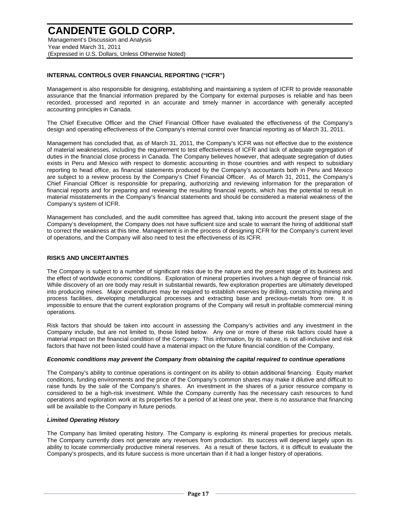#### **CANDENTE GOLD CORP.** Management's Discussion and Analysis

Year ended March 31, 2011 (Expressed in U.S. Dollars, Unless Otherwise Noted)

#### **INTERNAL CONTROLS OVER FINANCIAL REPORTING ("ICFR")**

Management is also responsible for designing, establishing and maintaining a system of ICFR to provide reasonable assurance that the financial information prepared by the Company for external purposes is reliable and has been recorded, processed and reported in an accurate and timely manner in accordance with generally accepted accounting principles in Canada.

The Chief Executive Officer and the Chief Financial Officer have evaluated the effectiveness of the Company's design and operating effectiveness of the Company's internal control over financial reporting as of March 31, 2011.

Management has concluded that, as of March 31, 2011, the Company's ICFR was not effective due to the existence of material weaknesses, including the requirement to test effectiveness of ICFR and lack of adequate segregation of duties in the financial close process in Canada. The Company believes however, that adequate segregation of duties exists in Peru and Mexico with respect to domestic accounting in those countries and with respect to subsidiary reporting to head office, as financial statements produced by the Company's accountants both in Peru and Mexico are subject to a review process by the Company's Chief Financial Officer. As of March 31, 2011, the Company's Chief Financial Officer is responsible for preparing, authorizing and reviewing information for the preparation of financial reports and for preparing and reviewing the resulting financial reports, which has the potential to result in material misstatements in the Company's financial statements and should be considered a material weakness of the Company's system of ICFR.

Management has concluded, and the audit committee has agreed that, taking into account the present stage of the Company's development, the Company does not have sufficient size and scale to warrant the hiring of additional staff to correct the weakness at this time. Management is in the process of designing ICFR for the Company's current level of operations, and the Company will also need to test the effectiveness of its ICFR.

#### **RISKS AND UNCERTAINTIES**

The Company is subject to a number of significant risks due to the nature and the present stage of its business and the effect of worldwide economic conditions. Exploration of mineral properties involves a high degree of financial risk. While discovery of an ore body may result in substantial rewards, few exploration properties are ultimately developed into producing mines. Major expenditures may be required to establish reserves by drilling, constructing mining and process facilities, developing metallurgical processes and extracting base and precious-metals from ore. It is impossible to ensure that the current exploration programs of the Company will result in profitable commercial mining operations.

Risk factors that should be taken into account in assessing the Company's activities and any investment in the Company include, but are not limited to, those listed below. Any one or more of these risk factors could have a material impact on the financial condition of the Company. This information, by its nature, is not all-inclusive and risk factors that have not been listed could have a material impact on the future financial condition of the Company.

#### *Economic conditions may prevent the Company from obtaining the capital required to continue operations*

The Company's ability to continue operations is contingent on its ability to obtain additional financing. Equity market conditions, funding environments and the price of the Company's common shares may make it dilutive and difficult to raise funds by the sale of the Company's shares. An investment in the shares of a junior resource company is considered to be a high-risk investment. While the Company currently has the necessary cash resources to fund operations and exploration work at its properties for a period of at least one year, there is no assurance that financing will be available to the Company in future periods.

#### *Limited Operating History*

.

The Company has limited operating history. The Company is exploring its mineral properties for precious metals. The Company currently does not generate any revenues from production. Its success will depend largely upon its ability to locate commercially productive mineral reserves. As a result of these factors, it is difficult to evaluate the Company's prospects, and its future success is more uncertain than if it had a longer history of operations.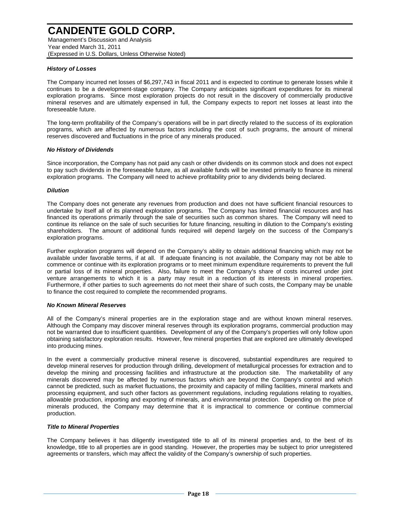Management's Discussion and Analysis Year ended March 31, 2011 (Expressed in U.S. Dollars, Unless Otherwise Noted)

#### *History of Losses*

The Company incurred net losses of \$6,297,743 in fiscal 2011 and is expected to continue to generate losses while it continues to be a development-stage company. The Company anticipates significant expenditures for its mineral exploration programs. Since most exploration projects do not result in the discovery of commercially productive mineral reserves and are ultimately expensed in full, the Company expects to report net losses at least into the foreseeable future.

The long-term profitability of the Company's operations will be in part directly related to the success of its exploration programs, which are affected by numerous factors including the cost of such programs, the amount of mineral reserves discovered and fluctuations in the price of any minerals produced.

#### *No History of Dividends*

Since incorporation, the Company has not paid any cash or other dividends on its common stock and does not expect to pay such dividends in the foreseeable future, as all available funds will be invested primarily to finance its mineral exploration programs. The Company will need to achieve profitability prior to any dividends being declared.

#### *Dilution*

The Company does not generate any revenues from production and does not have sufficient financial resources to undertake by itself all of its planned exploration programs. The Company has limited financial resources and has financed its operations primarily through the sale of securities such as common shares. The Company will need to continue its reliance on the sale of such securities for future financing, resulting in dilution to the Company's existing shareholders. The amount of additional funds required will depend largely on the success of the Company's exploration programs.

Further exploration programs will depend on the Company's ability to obtain additional financing which may not be available under favorable terms, if at all. If adequate financing is not available, the Company may not be able to commence or continue with its exploration programs or to meet minimum expenditure requirements to prevent the full or partial loss of its mineral properties. Also, failure to meet the Company's share of costs incurred under joint venture arrangements to which it is a party may result in a reduction of its interests in mineral properties. Furthermore, if other parties to such agreements do not meet their share of such costs, the Company may be unable to finance the cost required to complete the recommended programs.

#### *No Known Mineral Reserves*

All of the Company's mineral properties are in the exploration stage and are without known mineral reserves. Although the Company may discover mineral reserves through its exploration programs, commercial production may not be warranted due to insufficient quantities. Development of any of the Company's properties will only follow upon obtaining satisfactory exploration results. However, few mineral properties that are explored are ultimately developed into producing mines.

In the event a commercially productive mineral reserve is discovered, substantial expenditures are required to develop mineral reserves for production through drilling, development of metallurgical processes for extraction and to develop the mining and processing facilities and infrastructure at the production site. The marketability of any minerals discovered may be affected by numerous factors which are beyond the Company's control and which cannot be predicted, such as market fluctuations, the proximity and capacity of milling facilities, mineral markets and processing equipment, and such other factors as government regulations, including regulations relating to royalties, allowable production, importing and exporting of minerals, and environmental protection. Depending on the price of minerals produced, the Company may determine that it is impractical to commence or continue commercial production.

#### *Title to Mineral Properties*

The Company believes it has diligently investigated title to all of its mineral properties and, to the best of its knowledge, title to all properties are in good standing. However, the properties may be subject to prior unregistered agreements or transfers, which may affect the validity of the Company's ownership of such properties.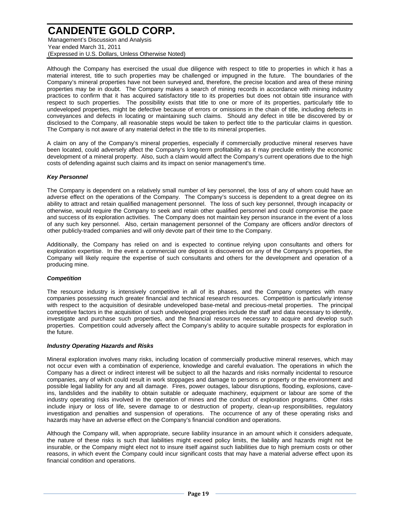Management's Discussion and Analysis Year ended March 31, 2011 (Expressed in U.S. Dollars, Unless Otherwise Noted)

Although the Company has exercised the usual due diligence with respect to title to properties in which it has a material interest, title to such properties may be challenged or impugned in the future. The boundaries of the Company's mineral properties have not been surveyed and, therefore, the precise location and area of these mining properties may be in doubt. The Company makes a search of mining records in accordance with mining industry practices to confirm that it has acquired satisfactory title to its properties but does not obtain title insurance with respect to such properties. The possibility exists that title to one or more of its properties, particularly title to undeveloped properties, might be defective because of errors or omissions in the chain of title, including defects in conveyances and defects in locating or maintaining such claims. Should any defect in title be discovered by or disclosed to the Company, all reasonable steps would be taken to perfect title to the particular claims in question. The Company is not aware of any material defect in the title to its mineral properties.

A claim on any of the Company's mineral properties, especially if commercially productive mineral reserves have been located, could adversely affect the Company's long-term profitability as it may preclude entirely the economic development of a mineral property. Also, such a claim would affect the Company's current operations due to the high costs of defending against such claims and its impact on senior management's time.

#### *Key Personnel*

The Company is dependent on a relatively small number of key personnel, the loss of any of whom could have an adverse effect on the operations of the Company. The Company's success is dependent to a great degree on its ability to attract and retain qualified management personnel. The loss of such key personnel, through incapacity or otherwise, would require the Company to seek and retain other qualified personnel and could compromise the pace and success of its exploration activities. The Company does not maintain key person insurance in the event of a loss of any such key personnel. Also, certain management personnel of the Company are officers and/or directors of other publicly-traded companies and will only devote part of their time to the Company.

Additionally, the Company has relied on and is expected to continue relying upon consultants and others for exploration expertise. In the event a commercial ore deposit is discovered on any of the Company's properties, the Company will likely require the expertise of such consultants and others for the development and operation of a producing mine.

#### *Competition*

The resource industry is intensively competitive in all of its phases, and the Company competes with many companies possessing much greater financial and technical research resources. Competition is particularly intense with respect to the acquisition of desirable undeveloped base-metal and precious-metal properties. The principal competitive factors in the acquisition of such undeveloped properties include the staff and data necessary to identify, investigate and purchase such properties, and the financial resources necessary to acquire and develop such properties. Competition could adversely affect the Company's ability to acquire suitable prospects for exploration in the future.

#### *Industry Operating Hazards and Risks*

Mineral exploration involves many risks, including location of commercially productive mineral reserves, which may not occur even with a combination of experience, knowledge and careful evaluation. The operations in which the Company has a direct or indirect interest will be subject to all the hazards and risks normally incidental to resource companies, any of which could result in work stoppages and damage to persons or property or the environment and possible legal liability for any and all damage. Fires, power outages, labour disruptions, flooding, explosions, caveins, landslides and the inability to obtain suitable or adequate machinery, equipment or labour are some of the industry operating risks involved in the operation of mines and the conduct of exploration programs. Other risks include injury or loss of life, severe damage to or destruction of property, clean-up responsibilities, regulatory investigation and penalties and suspension of operations. The occurrence of any of these operating risks and hazards may have an adverse effect on the Company's financial condition and operations.

Although the Company will, when appropriate, secure liability insurance in an amount which it considers adequate, the nature of these risks is such that liabilities might exceed policy limits, the liability and hazards might not be insurable, or the Company might elect not to insure itself against such liabilities due to high premium costs or other reasons, in which event the Company could incur significant costs that may have a material adverse effect upon its financial condition and operations.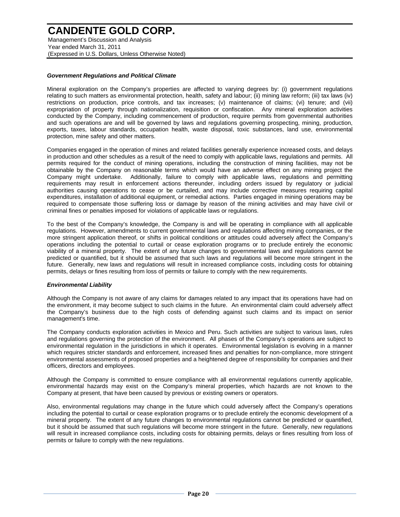Management's Discussion and Analysis Year ended March 31, 2011 (Expressed in U.S. Dollars, Unless Otherwise Noted)

#### *Government Regulations and Political Climate*

Mineral exploration on the Company's properties are affected to varying degrees by: (i) government regulations relating to such matters as environmental protection, health, safety and labour; (ii) mining law reform; (iii) tax laws (iv) restrictions on production, price controls, and tax increases; (v) maintenance of claims; (vi) tenure; and (vii) expropriation of property through nationalization, requisition or confiscation. Any mineral exploration activities conducted by the Company, including commencement of production, require permits from governmental authorities and such operations are and will be governed by laws and regulations governing prospecting, mining, production, exports, taxes, labour standards, occupation health, waste disposal, toxic substances, land use, environmental protection, mine safety and other matters.

Companies engaged in the operation of mines and related facilities generally experience increased costs, and delays in production and other schedules as a result of the need to comply with applicable laws, regulations and permits. All permits required for the conduct of mining operations, including the construction of mining facilities, may not be obtainable by the Company on reasonable terms which would have an adverse effect on any mining project the Company might undertake. Additionally, failure to comply with applicable laws, regulations and permitting requirements may result in enforcement actions thereunder, including orders issued by regulatory or judicial authorities causing operations to cease or be curtailed, and may include corrective measures requiring capital expenditures, installation of additional equipment, or remedial actions. Parties engaged in mining operations may be required to compensate those suffering loss or damage by reason of the mining activities and may have civil or criminal fines or penalties imposed for violations of applicable laws or regulations.

To the best of the Company's knowledge, the Company is and will be operating in compliance with all applicable regulations. However, amendments to current governmental laws and regulations affecting mining companies, or the more stringent application thereof, or shifts in political conditions or attitudes could adversely affect the Company's operations including the potential to curtail or cease exploration programs or to preclude entirely the economic viability of a mineral property. The extent of any future changes to governmental laws and regulations cannot be predicted or quantified, but it should be assumed that such laws and regulations will become more stringent in the future. Generally, new laws and regulations will result in increased compliance costs, including costs for obtaining permits, delays or fines resulting from loss of permits or failure to comply with the new requirements.

#### *Environmental Liability*

Although the Company is not aware of any claims for damages related to any impact that its operations have had on the environment, it may become subject to such claims in the future. An environmental claim could adversely affect the Company's business due to the high costs of defending against such claims and its impact on senior management's time.

The Company conducts exploration activities in Mexico and Peru. Such activities are subject to various laws, rules and regulations governing the protection of the environment. All phases of the Company's operations are subject to environmental regulation in the jurisdictions in which it operates. Environmental legislation is evolving in a manner which requires stricter standards and enforcement, increased fines and penalties for non-compliance, more stringent environmental assessments of proposed properties and a heightened degree of responsibility for companies and their officers, directors and employees.

Although the Company is committed to ensure compliance with all environmental regulations currently applicable, environmental hazards may exist on the Company's mineral properties, which hazards are not known to the Company at present, that have been caused by previous or existing owners or operators.

Also, environmental regulations may change in the future which could adversely affect the Company's operations including the potential to curtail or cease exploration programs or to preclude entirely the economic development of a mineral property. The extent of any future changes to environmental regulations cannot be predicted or quantified, but it should be assumed that such regulations will become more stringent in the future. Generally, new regulations will result in increased compliance costs, including costs for obtaining permits, delays or fines resulting from loss of permits or failure to comply with the new regulations.